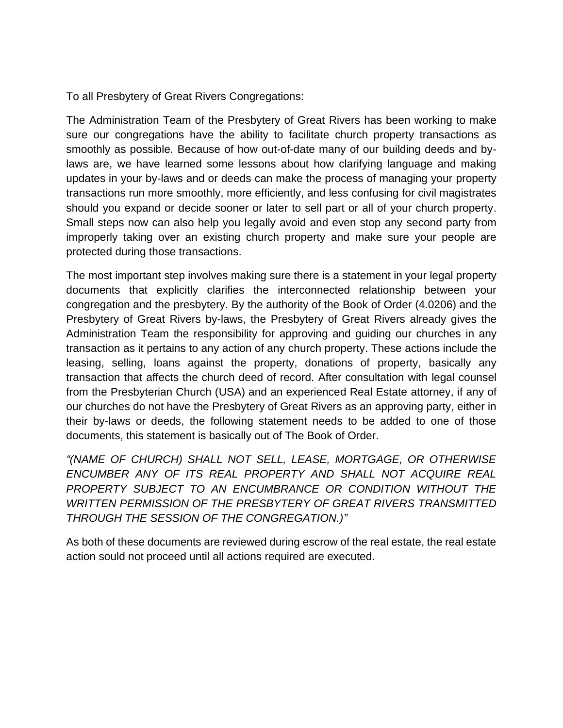To all Presbytery of Great Rivers Congregations:

The Administration Team of the Presbytery of Great Rivers has been working to make sure our congregations have the ability to facilitate church property transactions as smoothly as possible. Because of how out-of-date many of our building deeds and bylaws are, we have learned some lessons about how clarifying language and making updates in your by-laws and or deeds can make the process of managing your property transactions run more smoothly, more efficiently, and less confusing for civil magistrates should you expand or decide sooner or later to sell part or all of your church property. Small steps now can also help you legally avoid and even stop any second party from improperly taking over an existing church property and make sure your people are protected during those transactions.

The most important step involves making sure there is a statement in your legal property documents that explicitly clarifies the interconnected relationship between your congregation and the presbytery. By the authority of the Book of Order (4.0206) and the Presbytery of Great Rivers by-laws, the Presbytery of Great Rivers already gives the Administration Team the responsibility for approving and guiding our churches in any transaction as it pertains to any action of any church property. These actions include the leasing, selling, loans against the property, donations of property, basically any transaction that affects the church deed of record. After consultation with legal counsel from the Presbyterian Church (USA) and an experienced Real Estate attorney, if any of our churches do not have the Presbytery of Great Rivers as an approving party, either in their by-laws or deeds, the following statement needs to be added to one of those documents, this statement is basically out of The Book of Order.

*"(NAME OF CHURCH) SHALL NOT SELL, LEASE, MORTGAGE, OR OTHERWISE ENCUMBER ANY OF ITS REAL PROPERTY AND SHALL NOT ACQUIRE REAL PROPERTY SUBJECT TO AN ENCUMBRANCE OR CONDITION WITHOUT THE WRITTEN PERMISSION OF THE PRESBYTERY OF GREAT RIVERS TRANSMITTED THROUGH THE SESSION OF THE CONGREGATION.)"*

As both of these documents are reviewed during escrow of the real estate, the real estate action sould not proceed until all actions required are executed.